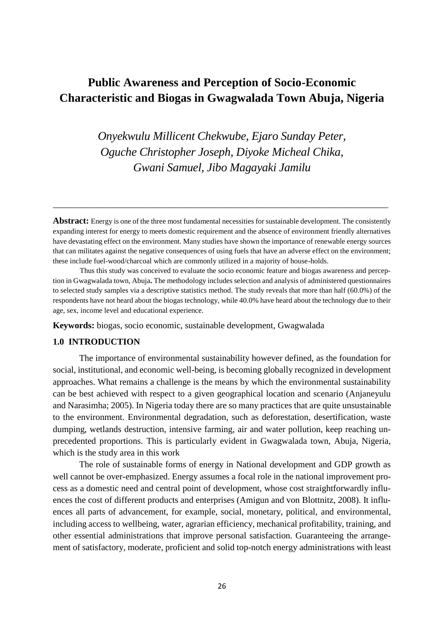# **Public Awareness and Perception of Socio-Economic Characteristic and Biogas in Gwagwalada Town Abuja, Nigeria**

*Onyekwulu Millicent Chekwube, Ejaro Sunday Peter, Oguche Christopher Joseph, Diyoke Micheal Chika, Gwani Samuel, Jibo Magayaki Jamilu*

**Abstract:** Energy is one of the three most fundamental necessities for sustainable development. The consistently expanding interest for energy to meets domestic requirement and the absence of environment friendly alternatives have devastating effect on the environment. Many studies have shown the importance of renewable energy sources that can militates against the negative consequences of using fuels that have an adverse effect on the environment; these include fuel-wood/charcoal which are commonly utilized in a majority of house-holds.

\_\_\_\_\_\_\_\_\_\_\_\_\_\_\_\_\_\_\_\_\_\_\_\_\_\_\_\_\_\_\_\_\_\_\_\_\_\_\_\_\_\_\_\_\_\_\_\_\_\_\_\_\_\_\_\_\_\_\_\_\_\_\_\_\_\_\_\_\_\_\_\_\_\_\_

Thus this study was conceived to evaluate the socio economic feature and biogas awareness and perception in Gwagwalada town, Abuja**.** The methodology includes selection and analysis of administered questionnaires to selected study samples via a descriptive statistics method. The study reveals that more than half (60.0%) of the respondents have not heard about the biogas technology, while 40.0% have heard about the technology due to their age, sex, income level and educational experience.

**Keywords:** biogas, socio economic, sustainable development, Gwagwalada

#### **1.0 INTRODUCTION**

The importance of environmental sustainability however defined, as the foundation for social, institutional, and economic well-being, is becoming globally recognized in development approaches. What remains a challenge is the means by which the environmental sustainability can be best achieved with respect to a given geographical location and scenario (Anjaneyulu and Narasimha; 2005). In Nigeria today there are so many practices that are quite unsustainable to the environment. Environmental degradation, such as deforestation, desertification, waste dumping, wetlands destruction, intensive farming, air and water pollution, keep reaching unprecedented proportions. This is particularly evident in Gwagwalada town, Abuja, Nigeria, which is the study area in this work

The role of sustainable forms of energy in National development and GDP growth as well cannot be over-emphasized. Energy assumes a focal role in the national improvement process as a domestic need and central point of development, whose cost straightforwardly influences the cost of different products and enterprises (Amigun and von Blottnitz, 2008). It influences all parts of advancement, for example, social, monetary, political, and environmental, including access to wellbeing, water, agrarian efficiency, mechanical profitability, training, and other essential administrations that improve personal satisfaction. Guaranteeing the arrangement of satisfactory, moderate, proficient and solid top-notch energy administrations with least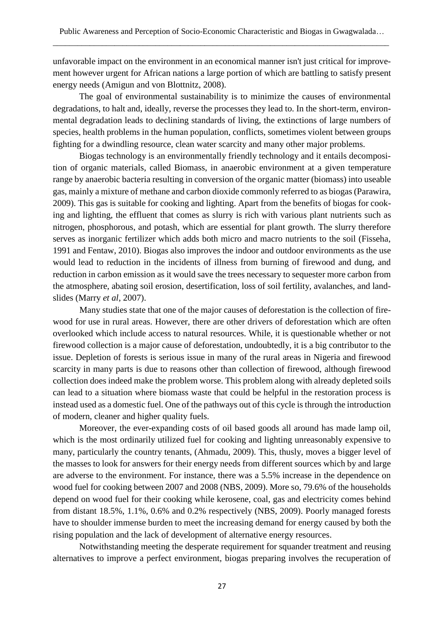unfavorable impact on the environment in an economical manner isn't just critical for improvement however urgent for African nations a large portion of which are battling to satisfy present energy needs (Amigun and von Blottnitz, 2008).

The goal of environmental sustainability is to minimize the causes of environmental degradations, to halt and, ideally, reverse the processes they lead to. In the short-term, environmental degradation leads to declining standards of living, the extinctions of large numbers of species, health problems in the human population, conflicts, sometimes violent between groups fighting for a dwindling resource, clean water scarcity and many other major problems.

Biogas technology is an environmentally friendly technology and it entails decomposition of organic materials, called Biomass, in anaerobic environment at a given temperature range by anaerobic bacteria resulting in conversion of the organic matter (biomass) into useable gas, mainly a mixture of methane and carbon dioxide commonly referred to as biogas (Parawira, 2009). This gas is suitable for cooking and lighting. Apart from the benefits of biogas for cooking and lighting, the effluent that comes as slurry is rich with various plant nutrients such as nitrogen, phosphorous, and potash, which are essential for plant growth. The slurry therefore serves as inorganic fertilizer which adds both micro and macro nutrients to the soil (Fisseha, 1991 and Fentaw, 2010). Biogas also improves the indoor and outdoor environments as the use would lead to reduction in the incidents of illness from burning of firewood and dung, and reduction in carbon emission as it would save the trees necessary to sequester more carbon from the atmosphere, abating soil erosion, desertification, loss of soil fertility, avalanches, and landslides (Marry *et al*, 2007).

Many studies state that one of the major causes of deforestation is the collection of firewood for use in rural areas. However, there are other drivers of deforestation which are often overlooked which include access to natural resources. While, it is questionable whether or not firewood collection is a major cause of deforestation, undoubtedly, it is a big contributor to the issue. Depletion of forests is serious issue in many of the rural areas in Nigeria and firewood scarcity in many parts is due to reasons other than collection of firewood, although firewood collection does indeed make the problem worse. This problem along with already depleted soils can lead to a situation where biomass waste that could be helpful in the restoration process is instead used as a domestic fuel. One of the pathways out of this cycle is through the introduction of modern, cleaner and higher quality fuels.

Moreover, the ever-expanding costs of oil based goods all around has made lamp oil, which is the most ordinarily utilized fuel for cooking and lighting unreasonably expensive to many, particularly the country tenants, (Ahmadu, 2009). This, thusly, moves a bigger level of the masses to look for answers for their energy needs from different sources which by and large are adverse to the environment. For instance, there was a 5.5% increase in the dependence on wood fuel for cooking between 2007 and 2008 (NBS, 2009). More so, 79.6% of the households depend on wood fuel for their cooking while kerosene, coal, gas and electricity comes behind from distant 18.5%, 1.1%, 0.6% and 0.2% respectively (NBS, 2009). Poorly managed forests have to shoulder immense burden to meet the increasing demand for energy caused by both the rising population and the lack of development of alternative energy resources.

Notwithstanding meeting the desperate requirement for squander treatment and reusing alternatives to improve a perfect environment, biogas preparing involves the recuperation of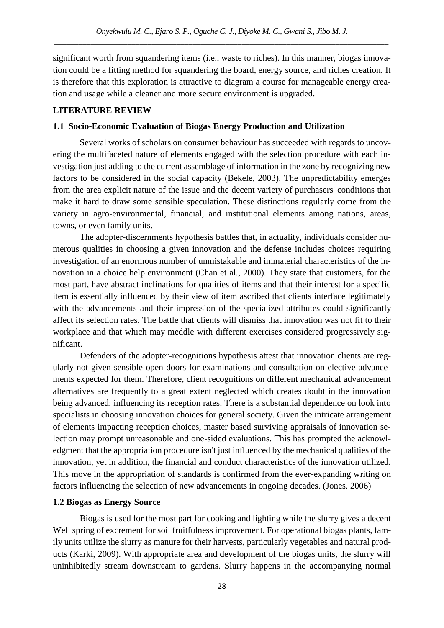significant worth from squandering items (i.e., waste to riches). In this manner, biogas innovation could be a fitting method for squandering the board, energy source, and riches creation. It is therefore that this exploration is attractive to diagram a course for manageable energy creation and usage while a cleaner and more secure environment is upgraded.

#### **LITERATURE REVIEW**

## **1.1 Socio-Economic Evaluation of Biogas Energy Production and Utilization**

Several works of scholars on consumer behaviour has succeeded with regards to uncovering the multifaceted nature of elements engaged with the selection procedure with each investigation just adding to the current assemblage of information in the zone by recognizing new factors to be considered in the social capacity (Bekele, 2003). The unpredictability emerges from the area explicit nature of the issue and the decent variety of purchasers' conditions that make it hard to draw some sensible speculation. These distinctions regularly come from the variety in agro-environmental, financial, and institutional elements among nations, areas, towns, or even family units.

The adopter-discernments hypothesis battles that, in actuality, individuals consider numerous qualities in choosing a given innovation and the defense includes choices requiring investigation of an enormous number of unmistakable and immaterial characteristics of the innovation in a choice help environment (Chan et al., 2000). They state that customers, for the most part, have abstract inclinations for qualities of items and that their interest for a specific item is essentially influenced by their view of item ascribed that clients interface legitimately with the advancements and their impression of the specialized attributes could significantly affect its selection rates. The battle that clients will dismiss that innovation was not fit to their workplace and that which may meddle with different exercises considered progressively significant.

Defenders of the adopter-recognitions hypothesis attest that innovation clients are regularly not given sensible open doors for examinations and consultation on elective advancements expected for them. Therefore, client recognitions on different mechanical advancement alternatives are frequently to a great extent neglected which creates doubt in the innovation being advanced; influencing its reception rates. There is a substantial dependence on look into specialists in choosing innovation choices for general society. Given the intricate arrangement of elements impacting reception choices, master based surviving appraisals of innovation selection may prompt unreasonable and one-sided evaluations. This has prompted the acknowledgment that the appropriation procedure isn't just influenced by the mechanical qualities of the innovation, yet in addition, the financial and conduct characteristics of the innovation utilized. This move in the appropriation of standards is confirmed from the ever-expanding writing on factors influencing the selection of new advancements in ongoing decades. (Jones. 2006)

#### **1.2 Biogas as Energy Source**

Biogas is used for the most part for cooking and lighting while the slurry gives a decent Well spring of excrement for soil fruitfulness improvement. For operational biogas plants, family units utilize the slurry as manure for their harvests, particularly vegetables and natural products (Karki, 2009). With appropriate area and development of the biogas units, the slurry will uninhibitedly stream downstream to gardens. Slurry happens in the accompanying normal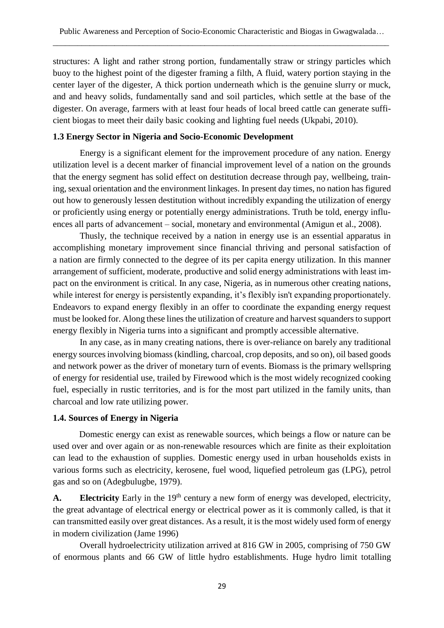structures: A light and rather strong portion, fundamentally straw or stringy particles which buoy to the highest point of the digester framing a filth, A fluid, watery portion staying in the center layer of the digester, A thick portion underneath which is the genuine slurry or muck, and and heavy solids, fundamentally sand and soil particles, which settle at the base of the digester. On average, farmers with at least four heads of local breed cattle can generate sufficient biogas to meet their daily basic cooking and lighting fuel needs (Ukpabi, 2010).

# **1.3 Energy Sector in Nigeria and Socio-Economic Development**

Energy is a significant element for the improvement procedure of any nation. Energy utilization level is a decent marker of financial improvement level of a nation on the grounds that the energy segment has solid effect on destitution decrease through pay, wellbeing, training, sexual orientation and the environment linkages. In present day times, no nation has figured out how to generously lessen destitution without incredibly expanding the utilization of energy or proficiently using energy or potentially energy administrations. Truth be told, energy influences all parts of advancement – social, monetary and environmental (Amigun et al., 2008).

Thusly, the technique received by a nation in energy use is an essential apparatus in accomplishing monetary improvement since financial thriving and personal satisfaction of a nation are firmly connected to the degree of its per capita energy utilization. In this manner arrangement of sufficient, moderate, productive and solid energy administrations with least impact on the environment is critical. In any case, Nigeria, as in numerous other creating nations, while interest for energy is persistently expanding, it's flexibly isn't expanding proportionately. Endeavors to expand energy flexibly in an offer to coordinate the expanding energy request must be looked for. Along these lines the utilization of creature and harvest squanders to support energy flexibly in Nigeria turns into a significant and promptly accessible alternative.

In any case, as in many creating nations, there is over-reliance on barely any traditional energy sources involving biomass (kindling, charcoal, crop deposits, and so on), oil based goods and network power as the driver of monetary turn of events. Biomass is the primary wellspring of energy for residential use, trailed by Firewood which is the most widely recognized cooking fuel, especially in rustic territories, and is for the most part utilized in the family units, than charcoal and low rate utilizing power.

# **1.4. Sources of Energy in Nigeria**

Domestic energy can exist as renewable sources, which beings a flow or nature can be used over and over again or as non-renewable resources which are finite as their exploitation can lead to the exhaustion of supplies. Domestic energy used in urban households exists in various forms such as electricity, kerosene, fuel wood, liquefied petroleum gas (LPG), petrol gas and so on (Adegbulugbe, 1979).

A. Electricity Early in the 19<sup>th</sup> century a new form of energy was developed, electricity, the great advantage of electrical energy or electrical power as it is commonly called, is that it can transmitted easily over great distances. As a result, it is the most widely used form of energy in modern civilization (Jame 1996)

Overall hydroelectricity utilization arrived at 816 GW in 2005, comprising of 750 GW of enormous plants and 66 GW of little hydro establishments. Huge hydro limit totalling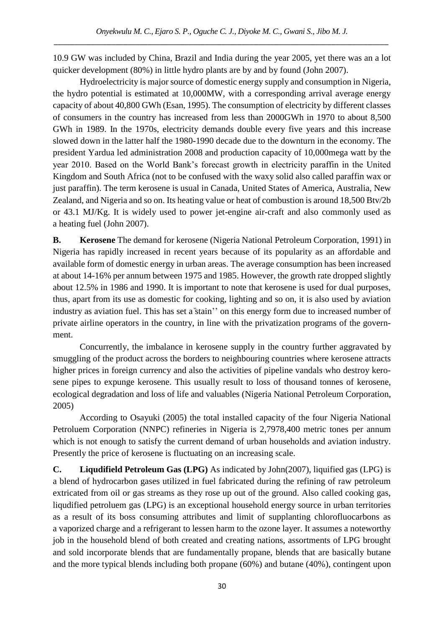10.9 GW was included by China, Brazil and India during the year 2005, yet there was an a lot quicker development (80%) in little hydro plants are by and by found (John 2007).

Hydroelectricity is major source of domestic energy supply and consumption in Nigeria, the hydro potential is estimated at 10,000MW, with a corresponding arrival average energy capacity of about 40,800 GWh (Esan, 1995). The consumption of electricity by different classes of consumers in the country has increased from less than 2000GWh in 1970 to about 8,500 GWh in 1989. In the 1970s, electricity demands double every five years and this increase slowed down in the latter half the 1980-1990 decade due to the downturn in the economy. The president Yardua led administration 2008 and production capacity of 10,000mega watt by the year 2010. Based on the World Bank's forecast growth in electricity paraffin in the United Kingdom and South Africa (not to be confused with the waxy solid also called paraffin wax or just paraffin). The term kerosene is usual in Canada, United States of America, Australia, New Zealand, and Nigeria and so on. Its heating value or heat of combustion is around 18,500 Btv/2b or 43.1 MJ/Kg. It is widely used to power jet-engine air-craft and also commonly used as a heating fuel (John 2007).

**B. Kerosene** The demand for kerosene (Nigeria National Petroleum Corporation, 1991) in Nigeria has rapidly increased in recent years because of its popularity as an affordable and available form of domestic energy in urban areas. The average consumption has been increased at about 14-16% per annum between 1975 and 1985. However, the growth rate dropped slightly about 12.5% in 1986 and 1990. It is important to note that kerosene is used for dual purposes, thus, apart from its use as domestic for cooking, lighting and so on, it is also used by aviation industry as aviation fuel. This has set a stain'' on this energy form due to increased number of private airline operators in the country, in line with the privatization programs of the government.

Concurrently, the imbalance in kerosene supply in the country further aggravated by smuggling of the product across the borders to neighbouring countries where kerosene attracts higher prices in foreign currency and also the activities of pipeline vandals who destroy kerosene pipes to expunge kerosene. This usually result to loss of thousand tonnes of kerosene, ecological degradation and loss of life and valuables (Nigeria National Petroleum Corporation, 2005)

According to Osayuki (2005) the total installed capacity of the four Nigeria National Petroluem Corporation (NNPC) refineries in Nigeria is 2,7978,400 metric tones per annum which is not enough to satisfy the current demand of urban households and aviation industry. Presently the price of kerosene is fluctuating on an increasing scale.

**C. Liqudifield Petroleum Gas (LPG)** As indicated by John(2007), liquified gas (LPG) is a blend of hydrocarbon gases utilized in fuel fabricated during the refining of raw petroleum extricated from oil or gas streams as they rose up out of the ground. Also called cooking gas, liqudified petroluem gas (LPG) is an exceptional household energy source in urban territories as a result of its boss consuming attributes and limit of supplanting chlorofluocarbons as a vaporized charge and a refrigerant to lessen harm to the ozone layer. It assumes a noteworthy job in the household blend of both created and creating nations, assortments of LPG brought and sold incorporate blends that are fundamentally propane, blends that are basically butane and the more typical blends including both propane (60%) and butane (40%), contingent upon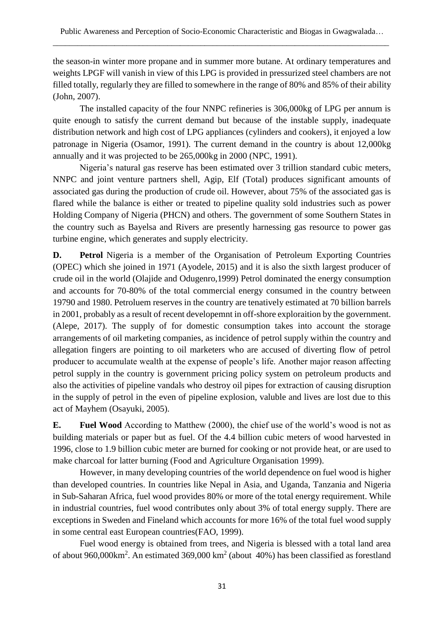the season-in winter more propane and in summer more butane. At ordinary temperatures and weights LPGF will vanish in view of this LPG is provided in pressurized steel chambers are not filled totally, regularly they are filled to somewhere in the range of 80% and 85% of their ability (John, 2007).

The installed capacity of the four NNPC refineries is 306,000kg of LPG per annum is quite enough to satisfy the current demand but because of the instable supply, inadequate distribution network and high cost of LPG appliances (cylinders and cookers), it enjoyed a low patronage in Nigeria (Osamor, 1991). The current demand in the country is about 12,000kg annually and it was projected to be 265,000kg in 2000 (NPC, 1991).

Nigeria's natural gas reserve has been estimated over 3 trillion standard cubic meters, NNPC and joint venture partners shell, Agip, Elf (Total) produces significant amounts of associated gas during the production of crude oil. However, about 75% of the associated gas is flared while the balance is either or treated to pipeline quality sold industries such as power Holding Company of Nigeria (PHCN) and others. The government of some Southern States in the country such as Bayelsa and Rivers are presently harnessing gas resource to power gas turbine engine, which generates and supply electricity.

**D. Petrol** Nigeria is a member of the Organisation of Petroleum Exporting Countries (OPEC) which she joined in 1971 (Ayodele, 2015) and it is also the sixth largest producer of crude oil in the world (Olajide and Odugenro,1999) Petrol dominated the energy consumption and accounts for 70-80% of the total commercial energy consumed in the country between 19790 and 1980. Petroluem reserves in the country are tenatively estimated at 70 billion barrels in 2001, probably as a result of recent developemnt in off-shore exploraition by the government. (Alepe, 2017). The supply of for domestic consumption takes into account the storage arrangements of oil marketing companies, as incidence of petrol supply within the country and allegation fingers are pointing to oil marketers who are accused of diverting flow of petrol producer to accumulate wealth at the expense of people's life. Another major reason affecting petrol supply in the country is government pricing policy system on petroleum products and also the activities of pipeline vandals who destroy oil pipes for extraction of causing disruption in the supply of petrol in the even of pipeline explosion, valuble and lives are lost due to this act of Mayhem (Osayuki, 2005).

**E. Fuel Wood** According to Matthew (2000), the chief use of the world's wood is not as building materials or paper but as fuel. Of the 4.4 billion cubic meters of wood harvested in 1996, close to 1.9 billion cubic meter are burned for cooking or not provide heat, or are used to make charcoal for latter burning (Food and Agriculture Organisation 1999).

However, in many developing countries of the world dependence on fuel wood is higher than developed countries. In countries like Nepal in Asia, and Uganda, Tanzania and Nigeria in Sub-Saharan Africa, fuel wood provides 80% or more of the total energy requirement. While in industrial countries, fuel wood contributes only about 3% of total energy supply. There are exceptions in Sweden and Fineland which accounts for more 16% of the total fuel wood supply in some central east European countries(FAO, 1999).

Fuel wood energy is obtained from trees, and Nigeria is blessed with a total land area of about 960,000 km<sup>2</sup>. An estimated 369,000 km<sup>2</sup> (about 40%) has been classified as forestland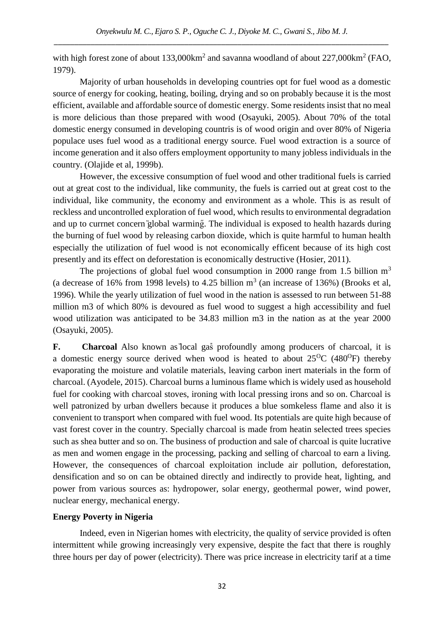with high forest zone of about  $133,000 \text{km}^2$  and savanna woodland of about  $227,000 \text{km}^2$  (FAO, 1979).

Majority of urban households in developing countries opt for fuel wood as a domestic source of energy for cooking, heating, boiling, drying and so on probably because it is the most efficient, available and affordable source of domestic energy. Some residents insist that no meal is more delicious than those prepared with wood (Osayuki, 2005). About 70% of the total domestic energy consumed in developing countris is of wood origin and over 80% of Nigeria populace uses fuel wood as a traditional energy source. Fuel wood extraction is a source of income generation and it also offers employment opportunity to many jobless individuals in the country. (Olajide et al, 1999b).

However, the excessive consumption of fuel wood and other traditional fuels is carried out at great cost to the individual, like community, the fuels is carried out at great cost to the individual, like community, the economy and environment as a whole. This is as result of reckless and uncontrolled exploration of fuel wood, which results to environmental degradation and up to currnet concern *global* warming. The individual is exposed to health hazards during the burning of fuel wood by releasing carbon dioxide, which is quite harmful to human health especially the utilization of fuel wood is not economically efficent because of its high cost presently and its effect on deforestation is economically destructive (Hosier, 2011).

The projections of global fuel wood consumption in 2000 range from 1.5 billion  $m<sup>3</sup>$ (a decrease of 16% from 1998 levels) to 4.25 billion  $m^3$  (an increase of 136%) (Brooks et al, 1996). While the yearly utilization of fuel wood in the nation is assessed to run between 51-88 million m3 of which 80% is devoured as fuel wood to suggest a high accessibility and fuel wood utilization was anticipated to be 34.83 million m3 in the nation as at the year 2000 (Osayuki, 2005).

**F. Charcoal** Also known as local gas profoundly among producers of charcoal, it is a domestic energy source derived when wood is heated to about  $25^{\circ}$ C (480<sup>o</sup>F) thereby evaporating the moisture and volatile materials, leaving carbon inert materials in the form of charcoal. (Ayodele, 2015). Charcoal burns a luminous flame which is widely used as household fuel for cooking with charcoal stoves, ironing with local pressing irons and so on. Charcoal is well patronized by urban dwellers because it produces a blue somkeless flame and also it is convenient to transport when compared with fuel wood. Its potentials are quite high because of vast forest cover in the country. Specially charcoal is made from heatin selected trees species such as shea butter and so on. The business of production and sale of charcoal is quite lucrative as men and women engage in the processing, packing and selling of charcoal to earn a living. However, the consequences of charcoal exploitation include air pollution, deforestation, densification and so on can be obtained directly and indirectly to provide heat, lighting, and power from various sources as: hydropower, solar energy, geothermal power, wind power, nuclear energy, mechanical energy.

# **Energy Poverty in Nigeria**

Indeed, even in Nigerian homes with electricity, the quality of service provided is often intermittent while growing increasingly very expensive, despite the fact that there is roughly three hours per day of power (electricity). There was price increase in electricity tarif at a time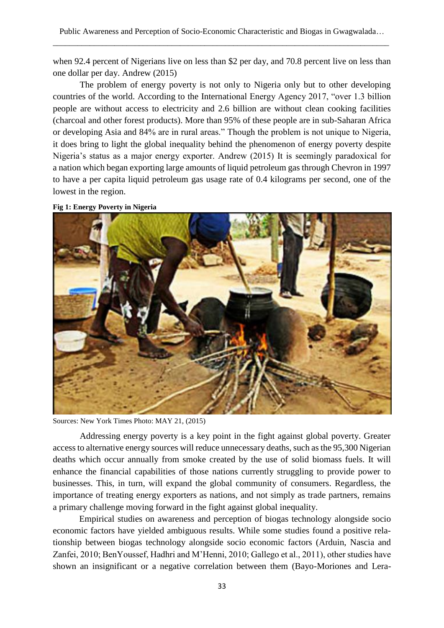when 92.4 percent of Nigerians live on less than \$2 per day, and 70.8 percent live on less than one dollar per day. Andrew (2015)

The problem of energy poverty is not only to Nigeria only but to other developing countries of the world. According to the International Energy Agency 2017, "over 1.3 billion people are without access to electricity and 2.6 billion are without clean cooking facilities (charcoal and other forest products). More than 95% of these people are in sub-Saharan Africa or developing Asia and 84% are in rural areas." Though the problem is not unique to Nigeria, it does bring to light the global inequality behind the phenomenon of energy poverty despite Nigeria's status as a major energy exporter. Andrew (2015) It is seemingly paradoxical for a nation which began exporting large amounts of liquid petroleum gas through Chevron in 1997 to have a per capita liquid petroleum gas usage rate of 0.4 kilograms per second, one of the lowest in the region.





Sources: New York Times Photo: MAY 21, (2015)

Addressing energy poverty is a key point in the fight against global poverty. Greater access to alternative energy sources will reduce unnecessary deaths, such as the 95,300 Nigerian deaths which occur annually from smoke created by the use of solid biomass fuels. It will enhance the financial capabilities of those nations currently struggling to provide power to businesses. This, in turn, will expand the global community of consumers. Regardless, the importance of treating energy exporters as nations, and not simply as trade partners, remains a primary challenge moving forward in the fight against global inequality.

Empirical studies on awareness and perception of biogas technology alongside socio economic factors have yielded ambiguous results. While some studies found a positive relationship between biogas technology alongside socio economic factors (Arduin, Nascia and Zanfei, 2010; BenYoussef, Hadhri and M'Henni, 2010; Gallego et al., 2011), other studies have shown an insignificant or a negative correlation between them (Bayo-Moriones and Lera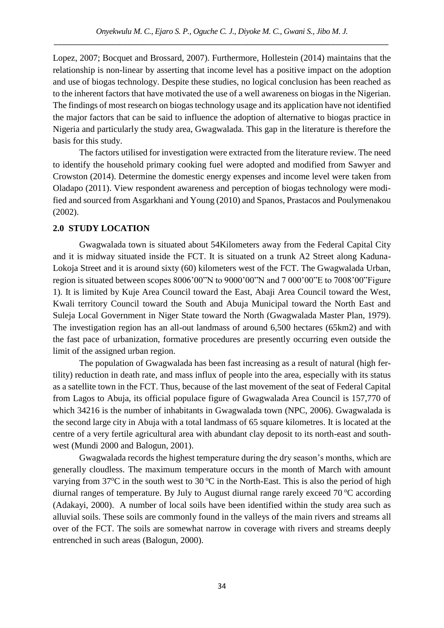Lopez, 2007; Bocquet and Brossard, 2007). Furthermore, Hollestein (2014) maintains that the relationship is non-linear by asserting that income level has a positive impact on the adoption and use of biogas technology. Despite these studies, no logical conclusion has been reached as to the inherent factors that have motivated the use of a well awareness on biogas in the Nigerian. The findings of most research on biogas technology usage and its application have not identified the major factors that can be said to influence the adoption of alternative to biogas practice in Nigeria and particularly the study area, Gwagwalada. This gap in the literature is therefore the basis for this study.

The factors utilised for investigation were extracted from the literature review. The need to identify the household primary cooking fuel were adopted and modified from Sawyer and Crowston (2014). Determine the domestic energy expenses and income level were taken from Oladapo (2011). View respondent awareness and perception of biogas technology were modified and sourced from Asgarkhani and Young (2010) and Spanos, Prastacos and Poulymenakou (2002).

# **2.0 STUDY LOCATION**

Gwagwalada town is situated about 54Kilometers away from the Federal Capital City and it is midway situated inside the FCT. It is situated on a trunk A2 Street along Kaduna-Lokoja Street and it is around sixty (60) kilometers west of the FCT. The Gwagwalada Urban, region is situated between scopes 8006'00"N to 9000'00"N and 7 000'00"E to 7008'00"Figure 1). It is limited by Kuje Area Council toward the East, Abaji Area Council toward the West, Kwali territory Council toward the South and Abuja Municipal toward the North East and Suleja Local Government in Niger State toward the North (Gwagwalada Master Plan, 1979). The investigation region has an all-out landmass of around 6,500 hectares (65km2) and with the fast pace of urbanization, formative procedures are presently occurring even outside the limit of the assigned urban region.

The population of Gwagwalada has been fast increasing as a result of natural (high fertility) reduction in death rate, and mass influx of people into the area, especially with its status as a satellite town in the FCT. Thus, because of the last movement of the seat of Federal Capital from Lagos to Abuja, its official populace figure of Gwagwalada Area Council is 157,770 of which 34216 is the number of inhabitants in Gwagwalada town (NPC, 2006). Gwagwalada is the second large city in Abuja with a total landmass of 65 square kilometres. It is located at the centre of a very fertile agricultural area with abundant clay deposit to its north-east and southwest (Mundi 2000 and Balogun, 2001).

Gwagwalada records the highest temperature during the dry season's months, which are generally cloudless. The maximum temperature occurs in the month of March with amount varying from  $37^{\circ}$ C in the south west to  $30^{\circ}$ C in the North-East. This is also the period of high diurnal ranges of temperature. By July to August diurnal range rarely exceed  $70^{\circ}$ C according (Adakayi, 2000). A number of local soils have been identified within the study area such as alluvial soils. These soils are commonly found in the valleys of the main rivers and streams all over of the FCT. The soils are somewhat narrow in coverage with rivers and streams deeply entrenched in such areas (Balogun, 2000).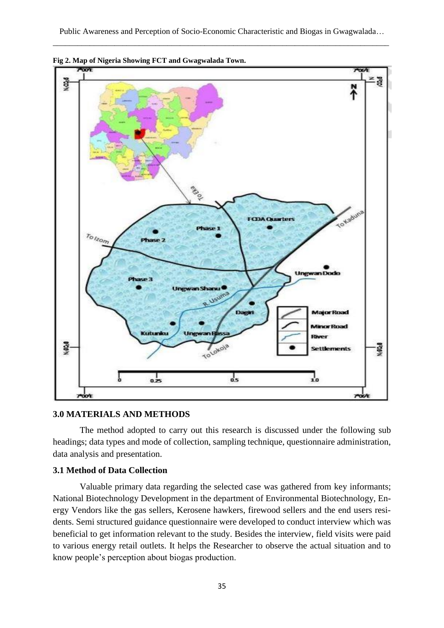

#### **3.0 MATERIALS AND METHODS**

The method adopted to carry out this research is discussed under the following sub headings; data types and mode of collection, sampling technique, questionnaire administration, data analysis and presentation.

#### **3.1 Method of Data Collection**

Valuable primary data regarding the selected case was gathered from key informants; National Biotechnology Development in the department of Environmental Biotechnology, Energy Vendors like the gas sellers, Kerosene hawkers, firewood sellers and the end users residents. Semi structured guidance questionnaire were developed to conduct interview which was beneficial to get information relevant to the study. Besides the interview, field visits were paid to various energy retail outlets. It helps the Researcher to observe the actual situation and to know people's perception about biogas production.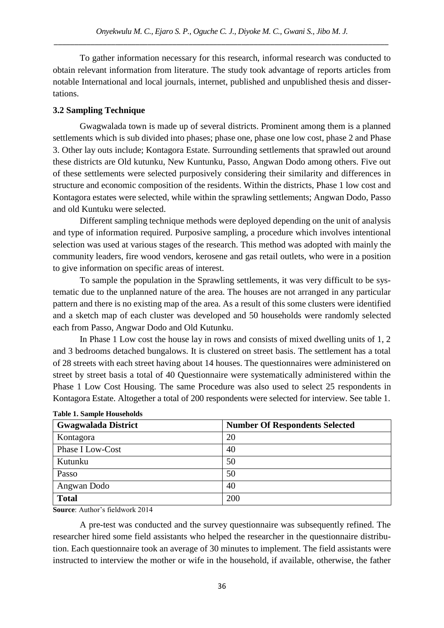To gather information necessary for this research, informal research was conducted to obtain relevant information from literature. The study took advantage of reports articles from notable International and local journals, internet, published and unpublished thesis and dissertations.

# **3.2 Sampling Technique**

Gwagwalada town is made up of several districts. Prominent among them is a planned settlements which is sub divided into phases; phase one, phase one low cost, phase 2 and Phase 3. Other lay outs include; Kontagora Estate. Surrounding settlements that sprawled out around these districts are Old kutunku, New Kuntunku, Passo, Angwan Dodo among others. Five out of these settlements were selected purposively considering their similarity and differences in structure and economic composition of the residents. Within the districts, Phase 1 low cost and Kontagora estates were selected, while within the sprawling settlements; Angwan Dodo, Passo and old Kuntuku were selected.

Different sampling technique methods were deployed depending on the unit of analysis and type of information required. Purposive sampling, a procedure which involves intentional selection was used at various stages of the research. This method was adopted with mainly the community leaders, fire wood vendors, kerosene and gas retail outlets, who were in a position to give information on specific areas of interest.

To sample the population in the Sprawling settlements, it was very difficult to be systematic due to the unplanned nature of the area. The houses are not arranged in any particular pattern and there is no existing map of the area. As a result of this some clusters were identified and a sketch map of each cluster was developed and 50 households were randomly selected each from Passo, Angwar Dodo and Old Kutunku.

In Phase 1 Low cost the house lay in rows and consists of mixed dwelling units of 1, 2 and 3 bedrooms detached bungalows. It is clustered on street basis. The settlement has a total of 28 streets with each street having about 14 houses. The questionnaires were administered on street by street basis a total of 40 Questionnaire were systematically administered within the Phase 1 Low Cost Housing. The same Procedure was also used to select 25 respondents in Kontagora Estate. Altogether a total of 200 respondents were selected for interview. See table 1.

| <b>Gwagwalada District</b> | <b>Number Of Respondents Selected</b> |
|----------------------------|---------------------------------------|
| Kontagora                  | 20                                    |
| Phase I Low-Cost           | 40                                    |
| Kutunku                    | 50                                    |
| Passo                      | 50                                    |
| Angwan Dodo                | 40                                    |
| <b>Total</b>               | 200                                   |

#### **Table 1. Sample Households**

**Source**: Author's fieldwork 2014

A pre-test was conducted and the survey questionnaire was subsequently refined. The researcher hired some field assistants who helped the researcher in the questionnaire distribution. Each questionnaire took an average of 30 minutes to implement. The field assistants were instructed to interview the mother or wife in the household, if available, otherwise, the father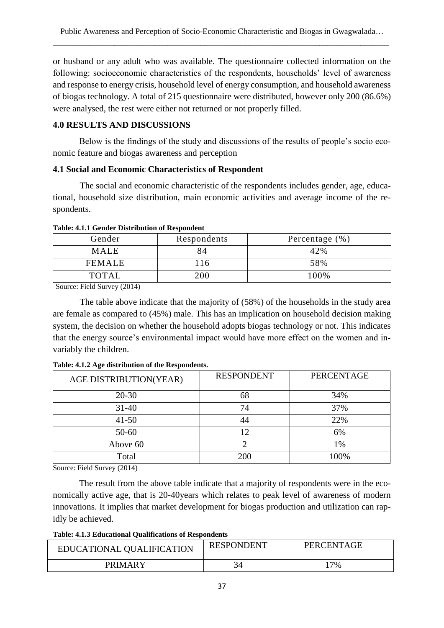or husband or any adult who was available. The questionnaire collected information on the following: socioeconomic characteristics of the respondents, households' level of awareness and response to energy crisis, household level of energy consumption, and household awareness of biogas technology. A total of 215 questionnaire were distributed, however only 200 (86.6%) were analysed, the rest were either not returned or not properly filled.

# **4.0 RESULTS AND DISCUSSIONS**

Below is the findings of the study and discussions of the results of people's socio economic feature and biogas awareness and perception

# **4.1 Social and Economic Characteristics of Respondent**

The social and economic characteristic of the respondents includes gender, age, educational, household size distribution, main economic activities and average income of the respondents.

| Gender        | Respondents | Percentage $(\% )$ |
|---------------|-------------|--------------------|
| <b>MALE</b>   |             | 42%                |
| <b>FEMALE</b> | 116         | 58%                |
| <b>TOTAL</b>  | 200         | 100%               |

## **Table: 4.1.1 Gender Distribution of Respondent**

Source: Field Survey (2014)

The table above indicate that the majority of (58%) of the households in the study area are female as compared to (45%) male. This has an implication on household decision making system, the decision on whether the household adopts biogas technology or not. This indicates that the energy source's environmental impact would have more effect on the women and invariably the children.

| AGE DISTRIBUTION(YEAR) | <b>RESPONDENT</b> | <b>PERCENTAGE</b> |
|------------------------|-------------------|-------------------|
| $20 - 30$              | 68                | 34%               |
| $31 - 40$              | 74                | 37%               |
| $41 - 50$              | 44                | 22%               |
| $50 - 60$              | 12                | 6%                |
| Above 60               |                   | 1%                |
| Total                  | 200               | 100%              |

## **Table: 4.1.2 Age distribution of the Respondents.**

Source: Field Survey (2014)

The result from the above table indicate that a majority of respondents were in the economically active age, that is 20-40years which relates to peak level of awareness of modern innovations. It implies that market development for biogas production and utilization can rapidly be achieved.

**Table: 4.1.3 Educational Qualifications of Respondents**

| EDUCATIONAL QUALIFICATION | <b>RESPONDENT</b> | PERCENTAGE |
|---------------------------|-------------------|------------|
| PRIMARY                   |                   | $7\%$      |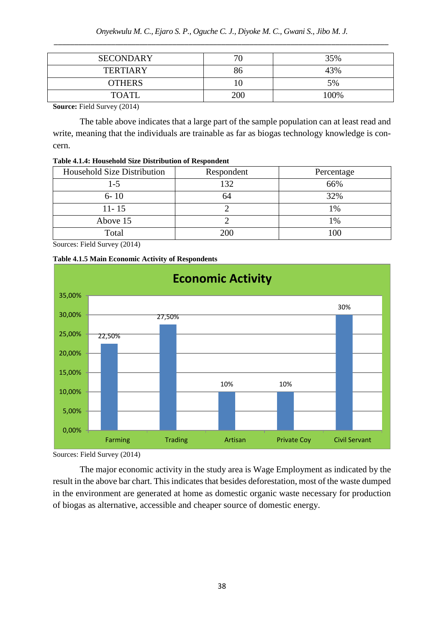| <b>SECONDARY</b> |     | 35%  |
|------------------|-----|------|
| <b>TERTIARY</b>  | გი  | 43%  |
| <b>OTHERS</b>    |     | 5%   |
| <b>TOATL</b>     | 200 | 100% |

**Source:** Field Survey (2014)

The table above indicates that a large part of the sample population can at least read and write, meaning that the individuals are trainable as far as biogas technology knowledge is concern.

| Table 4.1.4: Household Size Distribution of Respondent |
|--------------------------------------------------------|
|--------------------------------------------------------|

| <b>Household Size Distribution</b> | Respondent | Percentage |
|------------------------------------|------------|------------|
| 1-5                                | 132        | 66%        |
| $6 - 10$                           | 64         | 32%        |
| $11 - 15$                          |            | 1%         |
| Above 15                           |            | 1%         |
| Total                              | 200        | 100        |

Sources: Field Survey (2014)



**Table 4.1.5 Main Economic Activity of Respondents**

Sources: Field Survey (2014)

0,00%

5,00%

The major economic activity in the study area is Wage Employment as indicated by the result in the above bar chart. This indicates that besides deforestation, most of the waste dumped in the environment are generated at home as domestic organic waste necessary for production of biogas as alternative, accessible and cheaper source of domestic energy.

Farming Trading Artisan Private Coy Civil Servant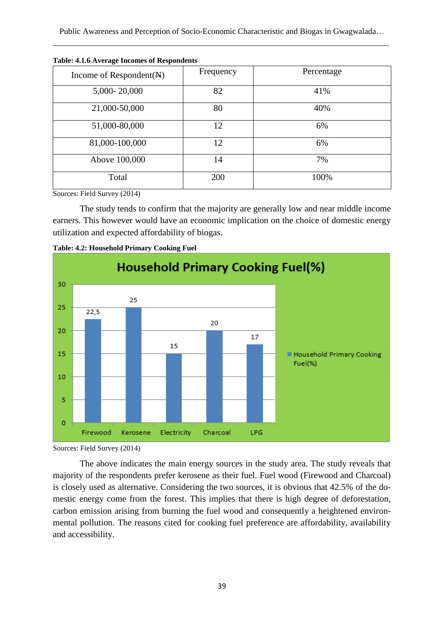Public Awareness and Perception of Socio-Economic Characteristic and Biogas in Gwagwalada… \_\_\_\_\_\_\_\_\_\_\_\_\_\_\_\_\_\_\_\_\_\_\_\_\_\_\_\_\_\_\_\_\_\_\_\_\_\_\_\_\_\_\_\_\_\_\_\_\_\_\_\_\_\_\_\_\_\_\_\_\_\_\_\_\_\_\_\_\_\_\_\_\_\_\_\_\_\_\_\_\_\_

| Income of Respondent $(\mathbf{A})$ | Frequency | Percentage |
|-------------------------------------|-----------|------------|
| 5,000-20,000                        | 82        | 41%        |
| 21,000-50,000                       | 80        | 40%        |
| 51,000-80,000                       | 12        | 6%         |
| 81,000-100,000                      | 12        | 6%         |
| Above 100,000                       | 14        | 7%         |
| Total                               | 200       | 100%       |

**Table: 4.1.6 Average Incomes of Respondents**

Sources: Field Survey (2014)

The study tends to confirm that the majority are generally low and near middle income earners. This however would have an economic implication on the choice of domestic energy utilization and expected affordability of biogas.





Sources: Field Survey (2014)

The above indicates the main energy sources in the study area. The study reveals that majority of the respondents prefer kerosene as their fuel. Fuel wood (Firewood and Charcoal) is closely used as alternative. Considering the two sources, it is obvious that 42.5% of the domestic energy come from the forest. This implies that there is high degree of deforestation, carbon emission arising from burning the fuel wood and consequently a heightened environmental pollution. The reasons cited for cooking fuel preference are affordability, availability and accessibility.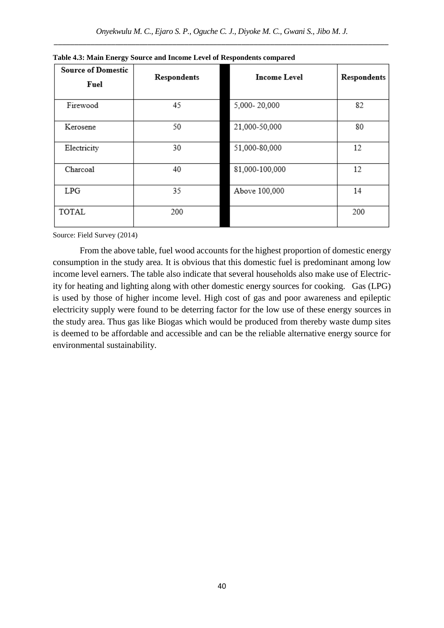| <b>Source of Domestic</b> | Respondents | <b>Income Level</b> | Respondents |
|---------------------------|-------------|---------------------|-------------|
| Fuel                      |             |                     |             |
| Firewood                  | 45          | 5,000-20,000        | 82          |
| Kerosene                  | 50          | 21,000-50,000       | 80          |
| Electricity               | 30          | 51,000-80,000       | 12          |
| Charcoal                  | 40          | 81,000-100,000      | 12          |
| LPG                       | 35          | Above 100,000       | 14          |
| TOTAL                     | 200         |                     | 200         |

**Table 4.3: Main Energy Source and Income Level of Respondents compared**

Source: Field Survey (2014)

From the above table, fuel wood accounts for the highest proportion of domestic energy consumption in the study area. It is obvious that this domestic fuel is predominant among low income level earners. The table also indicate that several households also make use of Electricity for heating and lighting along with other domestic energy sources for cooking. Gas (LPG) is used by those of higher income level. High cost of gas and poor awareness and epileptic electricity supply were found to be deterring factor for the low use of these energy sources in the study area. Thus gas like Biogas which would be produced from thereby waste dump sites is deemed to be affordable and accessible and can be the reliable alternative energy source for environmental sustainability.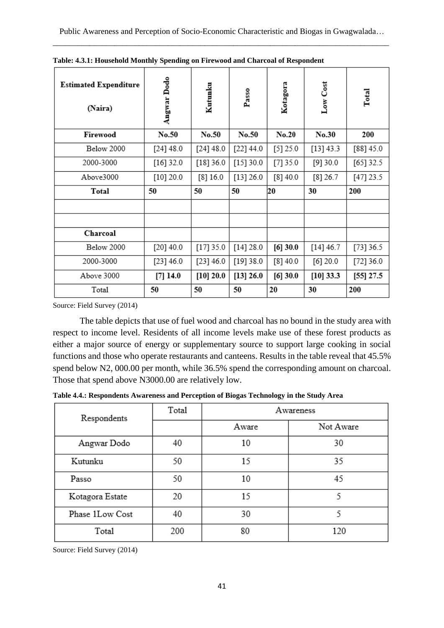| <b>Estimated Expenditure</b><br>(Naira) | Angwar Dodo | Kutunku   | Passo     | Kotagora | Low Cost    | Total       |
|-----------------------------------------|-------------|-----------|-----------|----------|-------------|-------------|
| Firewood                                | No.50       | No.50     | No.50     | No.20    | No.30       | 200         |
| Below 2000                              | [24] 48.0   | [24] 48.0 | [22] 44.0 | [5] 25.0 | [13] 43.3   | [88] 45.0   |
| 2000-3000                               | $[16]$ 32.0 | [18] 36.0 | [15] 30.0 | [7] 35.0 | [9]30.0     | $[65]$ 32.5 |
| Above3000                               | [10] 20.0   | [8]16.0   | [13] 26.0 | [8]40.0  | $[8]$ 26.7  | [47] 23.5   |
| Total                                   | 50          | 50        | 50        | 20       | 30          | 200         |
|                                         |             |           |           |          |             |             |
|                                         |             |           |           |          |             |             |
| Charcoal                                |             |           |           |          |             |             |
| Below 2000                              | $[20]$ 40.0 | [17] 35.0 | [14] 28.0 | [6] 30.0 | [14] 46.7   | [73] 36.5   |
| 2000-3000                               | [23] 46.0   | [23] 46.0 | [19] 38.0 | [8]40.0  | $[6]$ 20.0  | [72] 36.0   |
| Above 3000                              | $[7]$ 14.0  | [10] 20.0 | [13] 26.0 | [6] 30.0 | $[10]$ 33.3 | $[55]$ 27.5 |
| Total                                   | 50          | 50        | 50        | 20       | 30          | 200         |

**Table: 4.3.1: Household Monthly Spending on Firewood and Charcoal of Respondent**

Source: Field Survey (2014)

The table depicts that use of fuel wood and charcoal has no bound in the study area with respect to income level. Residents of all income levels make use of these forest products as either a major source of energy or supplementary source to support large cooking in social functions and those who operate restaurants and canteens. Results in the table reveal that 45.5% spend below N2, 000.00 per month, while 36.5% spend the corresponding amount on charcoal. Those that spend above N3000.00 are relatively low.

**Table 4.4.: Respondents Awareness and Perception of Biogas Technology in the Study Area**

| Respondents     | Total | Awareness |           |  |
|-----------------|-------|-----------|-----------|--|
|                 |       | Aware     | Not Aware |  |
| Angwar Dodo     | 40    | 10        | 30        |  |
| Kutunku         | 50    | 15        | 35        |  |
| Passo           | 50    | 10        | 45        |  |
| Kotagora Estate | 20    | 15        | 5         |  |
| Phase 1Low Cost | 40    | 30        | 5         |  |
| Total           | 200   | 80        | 120       |  |

Source: Field Survey (2014)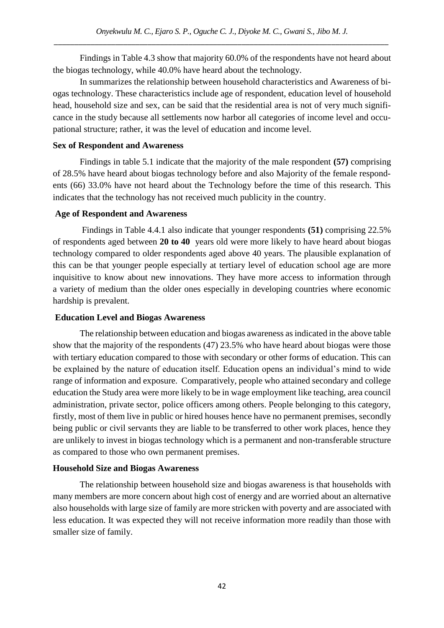Findings in Table 4.3 show that majority 60.0% of the respondents have not heard about the biogas technology, while 40.0% have heard about the technology.

In summarizes the relationship between household characteristics and Awareness of biogas technology. These characteristics include age of respondent, education level of household head, household size and sex, can be said that the residential area is not of very much significance in the study because all settlements now harbor all categories of income level and occupational structure; rather, it was the level of education and income level.

## **Sex of Respondent and Awareness**

Findings in table 5.1 indicate that the majority of the male respondent **(57)** comprising of 28.5% have heard about biogas technology before and also Majority of the female respondents (66) 33.0% have not heard about the Technology before the time of this research. This indicates that the technology has not received much publicity in the country.

## **Age of Respondent and Awareness**

Findings in Table 4.4.1 also indicate that younger respondents **(51)** comprising 22.5% of respondents aged between **20 to 40** years old were more likely to have heard about biogas technology compared to older respondents aged above 40 years. The plausible explanation of this can be that younger people especially at tertiary level of education school age are more inquisitive to know about new innovations. They have more access to information through a variety of medium than the older ones especially in developing countries where economic hardship is prevalent.

## **Education Level and Biogas Awareness**

The relationship between education and biogas awareness as indicated in the above table show that the majority of the respondents (47) 23.5% who have heard about biogas were those with tertiary education compared to those with secondary or other forms of education. This can be explained by the nature of education itself. Education opens an individual's mind to wide range of information and exposure. Comparatively, people who attained secondary and college education the Study area were more likely to be in wage employment like teaching, area council administration, private sector, police officers among others. People belonging to this category, firstly, most of them live in public or hired houses hence have no permanent premises, secondly being public or civil servants they are liable to be transferred to other work places, hence they are unlikely to invest in biogas technology which is a permanent and non-transferable structure as compared to those who own permanent premises.

## **Household Size and Biogas Awareness**

The relationship between household size and biogas awareness is that households with many members are more concern about high cost of energy and are worried about an alternative also households with large size of family are more stricken with poverty and are associated with less education. It was expected they will not receive information more readily than those with smaller size of family.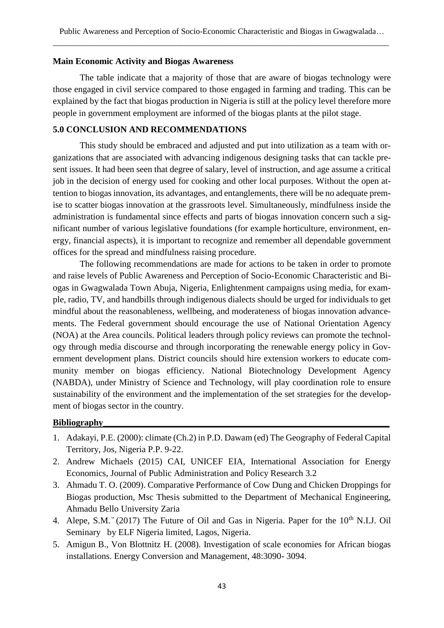#### **Main Economic Activity and Biogas Awareness**

The table indicate that a majority of those that are aware of biogas technology were those engaged in civil service compared to those engaged in farming and trading. This can be explained by the fact that biogas production in Nigeria is still at the policy level therefore more people in government employment are informed of the biogas plants at the pilot stage.

#### **5.0 CONCLUSION AND RECOMMENDATIONS**

This study should be embraced and adjusted and put into utilization as a team with organizations that are associated with advancing indigenous designing tasks that can tackle present issues. It had been seen that degree of salary, level of instruction, and age assume a critical job in the decision of energy used for cooking and other local purposes. Without the open attention to biogas innovation, its advantages, and entanglements, there will be no adequate premise to scatter biogas innovation at the grassroots level. Simultaneously, mindfulness inside the administration is fundamental since effects and parts of biogas innovation concern such a significant number of various legislative foundations (for example horticulture, environment, energy, financial aspects), it is important to recognize and remember all dependable government offices for the spread and mindfulness raising procedure.

The following recommendations are made for actions to be taken in order to promote and raise levels of Public Awareness and Perception of Socio-Economic Characteristic and Biogas in Gwagwalada Town Abuja, Nigeria, Enlightenment campaigns using media, for example, radio, TV, and handbills through indigenous dialects should be urged for individuals to get mindful about the reasonableness, wellbeing, and moderateness of biogas innovation advancements. The Federal government should encourage the use of National Orientation Agency (NOA) at the Area councils. Political leaders through policy reviews can promote the technology through media discourse and through incorporating the renewable energy policy in Government development plans. District councils should hire extension workers to educate community member on biogas efficiency. National Biotechnology Development Agency (NABDA), under Ministry of Science and Technology, will play coordination role to ensure sustainability of the environment and the implementation of the set strategies for the development of biogas sector in the country.

#### **Bibliography\_\_\_\_\_\_\_\_\_\_\_\_\_\_\_\_\_\_\_\_\_\_\_\_\_\_\_\_\_\_\_\_\_\_\_\_\_\_\_\_\_\_\_\_\_\_\_\_\_\_\_\_\_\_\_\_\_\_\_\_\_\_\_\_**

- 1. Adakayi, P.E. (2000): climate (Ch.2) in P.D. Dawam (ed) The Geography of Federal Capital Territory, Jos, Nigeria P.P. 9-22.
- 2. Andrew Michaels (2015) CAI, UNICEF EIA, International Association for Energy Economics, Journal of Public Administration and Policy Research 3.2
- 3. Ahmadu T. O. (2009). Comparative Performance of Cow Dung and Chicken Droppings for Biogas production, Msc Thesis submitted to the Department of Mechanical Engineering, Ahmadu Bello University Zaria
- 4. Alepe, S.M.  $(2017)$  The Future of Oil and Gas in Nigeria. Paper for the 10<sup>th</sup> N.I.J. Oil Seminary by ELF Nigeria limited, Lagos, Nigeria.
- 5. Amigun B., Von Blottnitz H. (2008). Investigation of scale economies for African biogas installations. Energy Conversion and Management, 48:3090- 3094.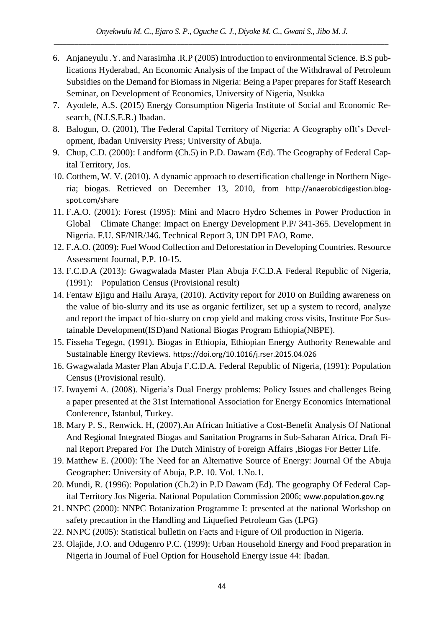- 6. Anjaneyulu .Y. and Narasimha .R.P (2005) Introduction to environmental Science. B.S publications Hyderabad, An Economic Analysis of the Impact of the Withdrawal of Petroleum Subsidies on the Demand for Biomass in Nigeria: Being a Paper prepares for Staff Research Seminar, on Development of Economics, University of Nigeria, Nsukka
- 7. Ayodele, A.S. (2015) Energy Consumption Nigeria Institute of Social and Economic Research, (N.I.S.E.R.) Ibadan.
- 8. Balogun, O. (2001), The Federal Capital Territory of Nigeria: A Geography ofIt's Development, Ibadan University Press; University of Abuja.
- 9. Chup, C.D. (2000): Landform (Ch.5) in P.D. Dawam (Ed). The Geography of Federal Capital Territory, Jos.
- 10. Cotthem, W. V. (2010). A dynamic approach to desertification challenge in Northern Nigeria; biogas. Retrieved on December 13, 2010, from http://anaerobicdigestion.blogspot.com/share
- 11. F.A.O. (2001): Forest (1995): Mini and Macro Hydro Schemes in Power Production in Global Climate Change: Impact on Energy Development P.P/ 341-365. Development in Nigeria. F.U. SF/NIR/J46. Technical Report 3, UN DPI FAO, Rome.
- 12. F.A.O. (2009): Fuel Wood Collection and Deforestation in Developing Countries. Resource Assessment Journal, P.P. 10-15.
- 13. F.C.D.A (2013): Gwagwalada Master Plan Abuja F.C.D.A Federal Republic of Nigeria, (1991): Population Census (Provisional result)
- 14. Fentaw Ejigu and Hailu Araya, (2010). Activity report for 2010 on Building awareness on the value of bio-slurry and its use as organic fertilizer, set up a system to record, analyze and report the impact of bio-slurry on crop yield and making cross visits, Institute For Sustainable Development(ISD)and National Biogas Program Ethiopia(NBPE).
- 15. Fisseha Tegegn, (1991). Biogas in Ethiopia, Ethiopian Energy Authority Renewable and Sustainable Energy Reviews. https://doi.org/10.1016/j.rser.2015.04.026
- 16. Gwagwalada Master Plan Abuja F.C.D.A. Federal Republic of Nigeria, (1991): Population Census (Provisional result).
- 17. Iwayemi A. (2008). Nigeria's Dual Energy problems: Policy Issues and challenges Being a paper presented at the 31st International Association for Energy Economics International Conference, Istanbul, Turkey.
- 18. Mary P. S., Renwick. H, (2007).An African Initiative a Cost-Benefit Analysis Of National And Regional Integrated Biogas and Sanitation Programs in Sub-Saharan Africa, Draft Final Report Prepared For The Dutch Ministry of Foreign Affairs ,Biogas For Better Life.
- 19. Matthew E. (2000): The Need for an Alternative Source of Energy: Journal Of the Abuja Geographer: University of Abuja, P.P. 10. Vol. 1.No.1.
- 20. Mundi, R. (1996): Population (Ch.2) in P.D Dawam (Ed). The geography Of Federal Capital Territory Jos Nigeria. National Population Commission 2006; www.population.gov.ng
- 21. NNPC (2000): NNPC Botanization Programme I: presented at the national Workshop on safety precaution in the Handling and Liquefied Petroleum Gas (LPG)
- 22. NNPC (2005): Statistical bulletin on Facts and Figure of Oil production in Nigeria.
- 23. Olajide, J.O. and Odugenro P.C. (1999): Urban Household Energy and Food preparation in Nigeria in Journal of Fuel Option for Household Energy issue 44: Ibadan.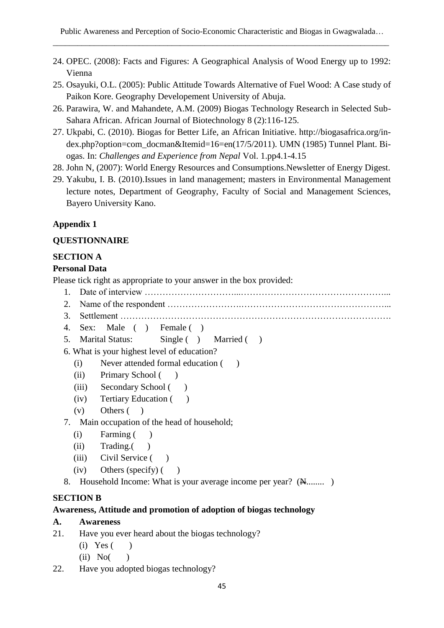- 24. OPEC. (2008): Facts and Figures: A Geographical Analysis of Wood Energy up to 1992: Vienna
- 25. Osayuki, O.L. (2005): Public Attitude Towards Alternative of Fuel Wood: A Case study of Paikon Kore. Geography Developement University of Abuja.
- 26. Parawira, W. and Mahandete, A.M. (2009) Biogas Technology Research in Selected Sub-Sahara African. African Journal of Biotechnology 8 (2):116-125.
- 27. Ukpabi, C. (2010). Biogas for Better Life, an African Initiative. http://biogasafrica.org/index.php?option=com\_docman&Itemid=16=en(17/5/2011). UMN (1985) Tunnel Plant. Biogas. In: *Challenges and Experience from Nepal* Vol. 1.pp4.1-4.15
- 28. John N, (2007): World Energy Resources and Consumptions.Newsletter of Energy Digest.
- 29. Yakubu, I. B. (2010).Issues in land management; masters in Environmental Management lecture notes, Department of Geography, Faculty of Social and Management Sciences, Bayero University Kano.

# **Appendix 1**

## **QUESTIONNAIRE**

## **SECTION A**

#### **Personal Data**

Please tick right as appropriate to your answer in the box provided:

- 1. Date of interview …………………………...…………………………………………...
- 2. Name of the respondent …………………….…………………………………………...
- 3. Settlement ……………………………………………………………………………….
- 4. Sex: Male ( ) Female ( )
- 5. Marital Status: Single ( ) Married ( )

6. What is your highest level of education?

- (i) Never attended formal education ( )
- (ii) Primary School ( )
- (iii) Secondary School ()
- (iv) Tertiary Education ( )
- (v) Others ( )
- 7. Main occupation of the head of household;
	- (i) Farming ( )
	- (ii) Trading.( )
	- (iii) Civil Service ()
	- $(iv)$  Others (specify)  $($ )
- 8. Household Income: What is your average income per year? ( $\mathbb{H}$ ........)

## **SECTION B**

## **Awareness, Attitude and promotion of adoption of biogas technology**

- **A. Awareness**
- 21. Have you ever heard about the biogas technology?
	- $(i)$  Yes  $( )$
	- $(ii) No($
- 22. Have you adopted biogas technology?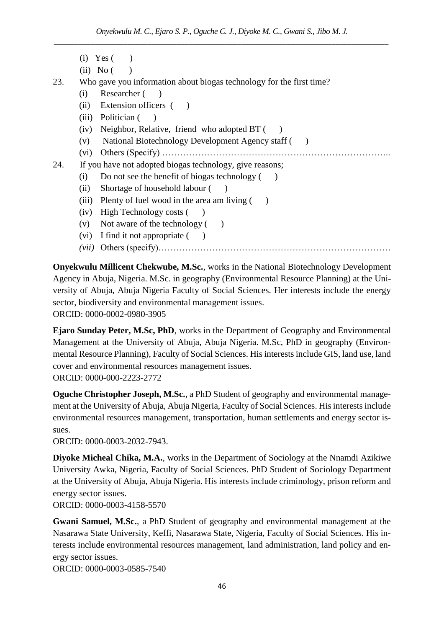- $(i) \text{Yes}$  ( )
- $(ii) No ($

23. Who gave you information about biogas technology for the first time?

- (i) Researcher ( )
- (ii) Extension officers ()
- (iii) Politician ()
- (iv) Neighbor, Relative, friend who adopted  $BT$  ( )
- (v) National Biotechnology Development Agency staff ( )
- (vi) Others (Specify) …………………………………………………………………..

```
24. If you have not adopted biogas technology, give reasons;
```
- (i) Do not see the benefit of biogas technology  $($ )
- (ii) Shortage of household labour ()
- (iii) Plenty of fuel wood in the area am living  $($ )
- (iv) High Technology costs ( )
- (v) Not aware of the technology ()
- (vi) I find it not appropriate  $($ )
- *(vii)* Others (specify)……………………………………………………………………

**Onyekwulu Millicent Chekwube, M.Sc.**, works in the National Biotechnology Development Agency in Abuja, Nigeria. M.Sc. in geography (Environmental Resource Planning) at the University of Abuja, Abuja Nigeria Faculty of Social Sciences. Her interests include the energy sector, biodiversity and environmental management issues. ORCID: 0000-0002-0980-3905

**Ejaro Sunday Peter, M.Sc, PhD**, works in the Department of Geography and Environmental Management at the University of Abuja, Abuja Nigeria. M.Sc, PhD in geography (Environmental Resource Planning), Faculty of Social Sciences. His interests include GIS, land use, land cover and environmental resources management issues.

ORCID: 0000-000-2223-2772

**Oguche Christopher Joseph, M.Sc.**, a PhD Student of geography and environmental management at the University of Abuja, Abuja Nigeria, Faculty of Social Sciences. His interests include environmental resources management, transportation, human settlements and energy sector issues.

ORCID: 0000-0003-2032-7943.

**Diyoke Micheal Chika, M.A.**, works in the Department of Sociology at the Nnamdi Azikiwe University Awka, Nigeria, Faculty of Social Sciences. PhD Student of Sociology Department at the University of Abuja, Abuja Nigeria. His interests include criminology, prison reform and energy sector issues.

ORCID: 0000-0003-4158-5570

**Gwani Samuel, M.Sc.**, a PhD Student of geography and environmental management at the Nasarawa State University, Keffi, Nasarawa State, Nigeria, Faculty of Social Sciences. His interests include environmental resources management, land administration, land policy and energy sector issues.

ORCID: 0000-0003-0585-7540